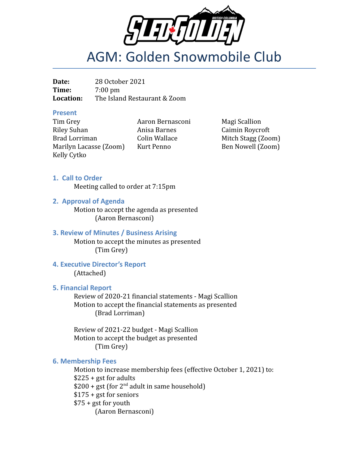

# AGM: Golden Snowmobile Club

**Date:** 28 October 2021 **Time:** 7:00 pm **Location:** The Island Restaurant & Zoom

#### **Present**

Tim Grey **Aaron Bernasconi** Magi Scallion Riley Suhan Anisa Barnes Caimin Roycroft Brad Lorriman Colin Wallace Mitch Stagg (Zoom) Marilyn Lacasse (Zoom) Kurt Penno Ben Nowell (Zoom) Kelly Cytko

#### **1. Call to Order**

Meeting called to order at 7:15pm

**2. Approval of Agenda**

Motion to accept the agenda as presented (Aaron Bernasconi)

#### **3. Review of Minutes / Business Arising**

Motion to accept the minutes as presented (Tim Grey)

#### **4. Executive Director's Report** (Attached)

#### **5. Financial Report**

Review of 2020-21 financial statements - Magi Scallion Motion to accept the financial statements as presented (Brad Lorriman)

Review of 2021-22 budget - Magi Scallion Motion to accept the budget as presented (Tim Grey)

#### **6. Membership Fees**

Motion to increase membership fees (effective October 1, 2021) to:  $$225 + gst$  for adults  $$200 + gst$  (for  $2<sup>nd</sup>$  adult in same household) \$175 + gst for seniors  $$75 + gst$  for youth (Aaron Bernasconi)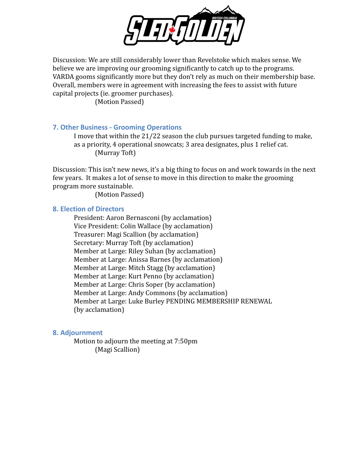

Discussion: We are still considerably lower than Revelstoke which makes sense. We believe we are improving our grooming significantly to catch up to the programs. VARDA gooms significantly more but they don't rely as much on their membership base. Overall, members were in agreement with increasing the fees to assist with future capital projects (ie. groomer purchases).

(Motion Passed)

#### **7. Other Business - Grooming Operations**

I move that within the 21/22 season the club pursues targeted funding to make, as a priority, 4 operational snowcats; 3 area designates, plus 1 relief cat. (Murray Toft)

Discussion: This isn't new news, it's a big thing to focus on and work towards in the next few years. It makes a lot of sense to move in this direction to make the grooming program more sustainable.

(Motion Passed)

#### **8. Election of Directors**

President: Aaron Bernasconi (by acclamation) Vice President: Colin Wallace (by acclamation) Treasurer: Magi Scallion (by acclamation) Secretary: Murray Toft (by acclamation) Member at Large: Riley Suhan (by acclamation) Member at Large: Anissa Barnes (by acclamation) Member at Large: Mitch Stagg (by acclamation) Member at Large: Kurt Penno (by acclamation) Member at Large: Chris Soper (by acclamation) Member at Large: Andy Commons (by acclamation) Member at Large: Luke Burley PENDING MEMBERSHIP RENEWAL (by acclamation)

#### **8. Adjournment**

Motion to adjourn the meeting at 7:50pm (Magi Scallion)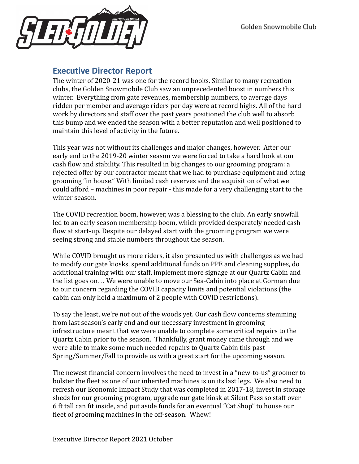

## **Executive Director Report**

The winter of 2020-21 was one for the record books. Similar to many recreation clubs, the Golden Snowmobile Club saw an unprecedented boost in numbers this winter. Everything from gate revenues, membership numbers, to average days ridden per member and average riders per day were at record highs. All of the hard work by directors and staff over the past years positioned the club well to absorb this bump and we ended the season with a better reputation and well positioned to maintain this level of activity in the future.

This year was not without its challenges and major changes, however. After our early end to the 2019-20 winter season we were forced to take a hard look at our cash flow and stability. This resulted in big changes to our grooming program: a rejected offer by our contractor meant that we had to purchase equipment and bring grooming "in house." With limited cash reserves and the acquisition of what we could afford – machines in poor repair - this made for a very challenging start to the winter season.

The COVID recreation boom, however, was a blessing to the club. An early snowfall led to an early season membership boom, which provided desperately needed cash flow at start-up. Despite our delayed start with the grooming program we were seeing strong and stable numbers throughout the season.

While COVID brought us more riders, it also presented us with challenges as we had to modify our gate kiosks, spend additional funds on PPE and cleaning supplies, do additional training with our staff, implement more signage at our Quartz Cabin and the list goes on… We were unable to move our Sea-Cabin into place at Gorman due to our concern regarding the COVID capacity limits and potential violations (the cabin can only hold a maximum of 2 people with COVID restrictions).

To say the least, we're not out of the woods yet. Our cash flow concerns stemming from last season's early end and our necessary investment in grooming infrastructure meant that we were unable to complete some critical repairs to the Quartz Cabin prior to the season. Thankfully, grant money came through and we were able to make some much needed repairs to Quartz Cabin this past Spring/Summer/Fall to provide us with a great start for the upcoming season.

The newest financial concern involves the need to invest in a "new-to-us" groomer to bolster the fleet as one of our inherited machines is on its last legs. We also need to refresh our Economic Impact Study that was completed in 2017-18, invest in storage sheds for our grooming program, upgrade our gate kiosk at Silent Pass so staff over 6 ft tall can fit inside, and put aside funds for an eventual "Cat Shop" to house our fleet of grooming machines in the off-season. Whew!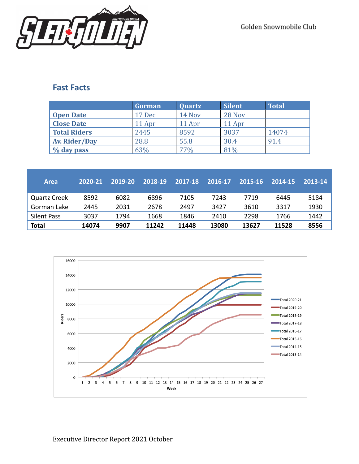

## **Fast Facts**

|                     | Gorman | <b>Quartz</b> | <b>Silent</b> | <b>Total</b> |
|---------------------|--------|---------------|---------------|--------------|
| <b>Open Date</b>    | 17 Dec | 14 Nov        | 28 Nov        |              |
| <b>Close Date</b>   | 11 Apr | 11 Apr        | 11 Apr        |              |
| <b>Total Riders</b> | 2445   | 8592          | 3037          | 14074        |
| Av. Rider/Day       | 28.8   | 55.8          | 30.4          | 91.4         |
| % day pass          | 63%    | 77%           | 81%           |              |

| <b>Area</b>         | 2020-21 | 2019-20 | 2018-19 | 2017-18 | 2016-17 | 2015-16 | 2014-15 | 2013-14 |
|---------------------|---------|---------|---------|---------|---------|---------|---------|---------|
| <b>Quartz Creek</b> | 8592    | 6082    | 6896    | 7105    | 7243    | 7719    | 6445    | 5184    |
| Gorman Lake         | 2445    | 2031    | 2678    | 2497    | 3427    | 3610    | 3317    | 1930    |
| Silent Pass         | 3037    | 1794    | 1668    | 1846    | 2410    | 2298    | 1766    | 1442    |
| <b>Total</b>        | 14074   | 9907    | 11242   | 11448   | 13080   | 13627   | 11528   | 8556    |

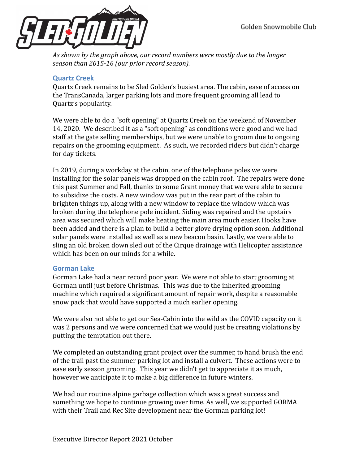

*As shown by the graph above, our record numbers were mostly due to the longer season than 2015-16 (our prior record season).*

#### **Quartz Creek**

Quartz Creek remains to be Sled Golden's busiest area. The cabin, ease of access on the TransCanada, larger parking lots and more frequent grooming all lead to Quartz's popularity.

We were able to do a "soft opening" at Quartz Creek on the weekend of November 14, 2020. We described it as a "soft opening" as conditions were good and we had staff at the gate selling memberships, but we were unable to groom due to ongoing repairs on the grooming equipment. As such, we recorded riders but didn't charge for day tickets.

In 2019, during a workday at the cabin, one of the telephone poles we were installing for the solar panels was dropped on the cabin roof. The repairs were done this past Summer and Fall, thanks to some Grant money that we were able to secure to subsidize the costs. A new window was put in the rear part of the cabin to brighten things up, along with a new window to replace the window which was broken during the telephone pole incident. Siding was repaired and the upstairs area was secured which will make heating the main area much easier. Hooks have been added and there is a plan to build a better glove drying option soon. Additional solar panels were installed as well as a new beacon basin. Lastly, we were able to sling an old broken down sled out of the Cirque drainage with Helicopter assistance which has been on our minds for a while.

#### **Gorman Lake**

Gorman Lake had a near record poor year. We were not able to start grooming at Gorman until just before Christmas. This was due to the inherited grooming machine which required a significant amount of repair work, despite a reasonable snow pack that would have supported a much earlier opening.

We were also not able to get our Sea-Cabin into the wild as the COVID capacity on it was 2 persons and we were concerned that we would just be creating violations by putting the temptation out there.

We completed an outstanding grant project over the summer, to hand brush the end of the trail past the summer parking lot and install a culvert. These actions were to ease early season grooming. This year we didn't get to appreciate it as much, however we anticipate it to make a big difference in future winters.

We had our routine alpine garbage collection which was a great success and something we hope to continue growing over time. As well, we supported GORMA with their Trail and Rec Site development near the Gorman parking lot!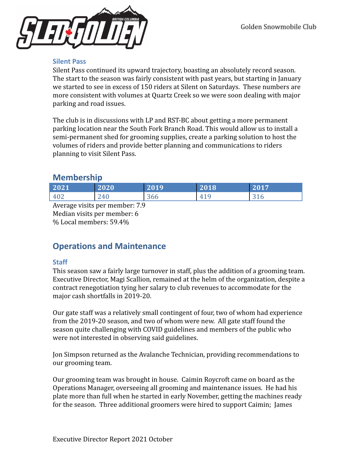

#### **Silent Pass**

Silent Pass continued its upward trajectory, boasting an absolutely record season. The start to the season was fairly consistent with past years, but starting in January we started to see in excess of 150 riders at Silent on Saturdays. These numbers are more consistent with volumes at Quartz Creek so we were soon dealing with major parking and road issues.

The club is in discussions with LP and RST-BC about getting a more permanent parking location near the South Fork Branch Road. This would allow us to install a semi-permanent shed for grooming supplies, create a parking solution to host the volumes of riders and provide better planning and communications to riders planning to visit Silent Pass.

## **Membership**

| 2021              | 2020        | 2019 | 2018 | 2017      |
|-------------------|-------------|------|------|-----------|
| $40^\circ$<br>±∪∠ | 240         | 300  | 4    | 21<br>310 |
|                   | . .<br>$ -$ |      |      |           |

Average visits per member: 7.9 Median visits per member: 6 % Local members: 59.4%

# **Operations and Maintenance**

#### **Staff**

This season saw a fairly large turnover in staff, plus the addition of a grooming team. Executive Director, Magi Scallion, remained at the helm of the organization, despite a contract renegotiation tying her salary to club revenues to accommodate for the major cash shortfalls in 2019-20.

Our gate staff was a relatively small contingent of four, two of whom had experience from the 2019-20 season, and two of whom were new. All gate staff found the season quite challenging with COVID guidelines and members of the public who were not interested in observing said guidelines.

Jon Simpson returned as the Avalanche Technician, providing recommendations to our grooming team.

Our grooming team was brought in house. Caimin Roycroft came on board as the Operations Manager, overseeing all grooming and maintenance issues. He had his plate more than full when he started in early November, getting the machines ready for the season. Three additional groomers were hired to support Caimin; James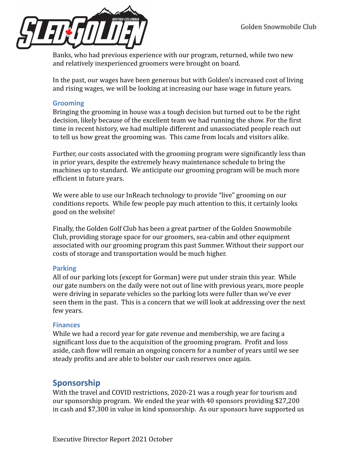

Banks, who had previous experience with our program, returned, while two new and relatively inexperienced groomers were brought on board.

In the past, our wages have been generous but with Golden's increased cost of living and rising wages, we will be looking at increasing our base wage in future years.

#### **Grooming**

Bringing the grooming in house was a tough decision but turned out to be the right decision, likely because of the excellent team we had running the show. For the first time in recent history, we had multiple different and unassociated people reach out to tell us how great the grooming was. This came from locals and visitors alike.

Further, our costs associated with the grooming program were significantly less than in prior years, despite the extremely heavy maintenance schedule to bring the machines up to standard. We anticipate our grooming program will be much more efficient in future years.

We were able to use our InReach technology to provide "live" grooming on our conditions reports. While few people pay much attention to this, it certainly looks good on the website!

Finally, the Golden Golf Club has been a great partner of the Golden Snowmobile Club, providing storage space for our groomers, sea-cabin and other equipment associated with our grooming program this past Summer. Without their support our costs of storage and transportation would be much higher.

#### **Parking**

All of our parking lots (except for Gorman) were put under strain this year. While our gate numbers on the daily were not out of line with previous years, more people were driving in separate vehicles so the parking lots were fuller than we've ever seen them in the past. This is a concern that we will look at addressing over the next few years.

#### **Finances**

While we had a record year for gate revenue and membership, we are facing a significant loss due to the acquisition of the grooming program. Profit and loss aside, cash flow will remain an ongoing concern for a number of years until we see steady profits and are able to bolster our cash reserves once again.

## **Sponsorship**

With the travel and COVID restrictions, 2020-21 was a rough year for tourism and our sponsorship program. We ended the year with 40 sponsors providing \$27,200 in cash and \$7,300 in value in kind sponsorship. As our sponsors have supported us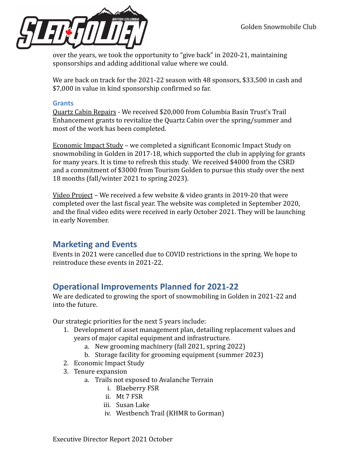

over the years, we took the opportunity to "give back" in 2020-21, maintaining sponsorships and adding additional value where we could.

We are back on track for the 2021-22 season with 48 sponsors, \$33,500 in cash and \$7,000 in value in kind sponsorship confirmed so far.

#### **Grants**

Quartz Cabin Repairs - We received \$20,000 from Columbia Basin Trust's Trail Enhancement grants to revitalize the Quartz Cabin over the spring/summer and most of the work has been completed.

Economic Impact Study – we completed a significant Economic Impact Study on snowmobiling in Golden in 2017-18, which supported the club in applying for grants for many years. It is time to refresh this study. We received \$4000 from the CSRD and a commitment of \$3000 from Tourism Golden to pursue this study over the next 18 months (fall/winter 2021 to spring 2023).

Video Project – We received a few website & video grants in 2019-20 that were completed over the last fiscal year. The website was completed in September 2020, and the final video edits were received in early October 2021. They will be launching in early November.

## **Marketing and Events**

Events in 2021 were cancelled due to COVID restrictions in the spring. We hope to reintroduce these events in 2021-22.

## **Operational Improvements Planned for 2021-22**

We are dedicated to growing the sport of snowmobiling in Golden in 2021-22 and into the future.

Our strategic priorities for the next 5 years include:

- 1. Development of asset management plan, detailing replacement values and years of major capital equipment and infrastructure.
	- a. New grooming machinery (fall 2021, spring 2022)
	- b. Storage facility for grooming equipment (summer 2023)
- 2. Economic Impact Study
- 3. Tenure expansion
	- a. Trails not exposed to Avalanche Terrain
		- i. Blaeberry FSR
		- ii. Mt 7 FSR
		- iii. Susan Lake
		- iv. Westbench Trail (KHMR to Gorman)